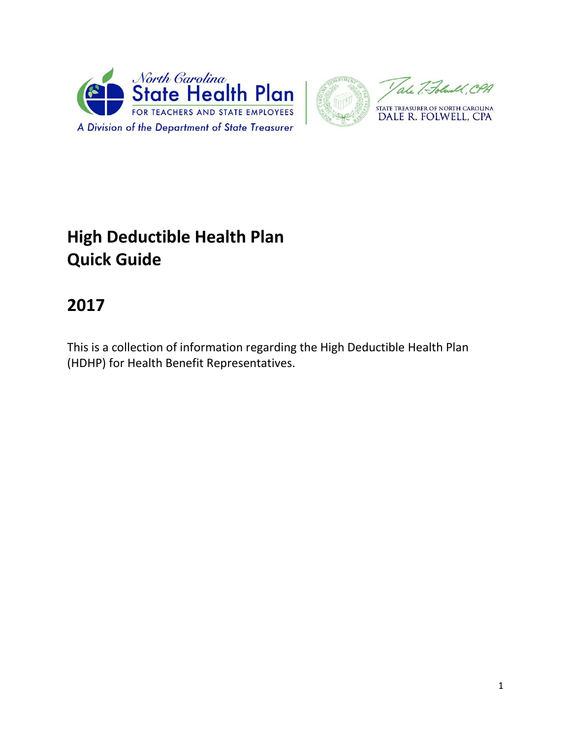



# **High Deductible Health Plan Quick Guide**

# **2017**

This is a collection of information regarding the High Deductible Health Plan (HDHP) for Health Benefit Representatives.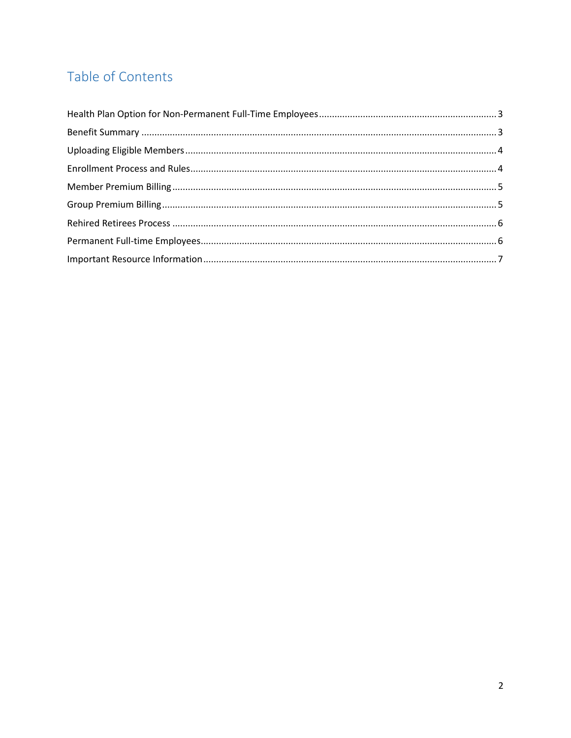# Table of Contents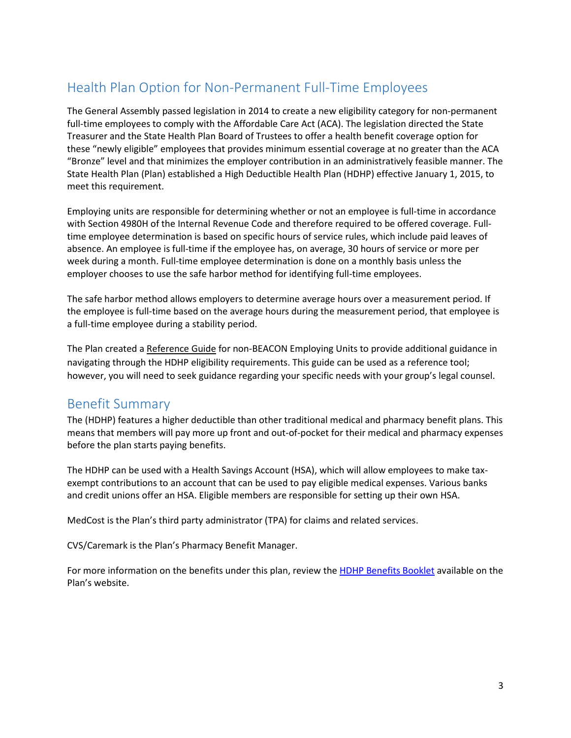## <span id="page-2-0"></span>Health Plan Option for Non-Permanent Full-Time Employees

The General Assembly passed legislation in 2014 to create a new eligibility category for non-permanent full-time employees to comply with the Affordable Care Act (ACA). The legislation directed the State Treasurer and the State Health Plan Board of Trustees to offer a health benefit coverage option for these "newly eligible" employees that provides minimum essential coverage at no greater than the ACA "Bronze" level and that minimizes the employer contribution in an administratively feasible manner. The State Health Plan (Plan) established a High Deductible Health Plan (HDHP) effective January 1, 2015, to meet this requirement.

Employing units are responsible for determining whether or not an employee is full-time in accordance with Section 4980H of the Internal Revenue Code and therefore required to be offered coverage. Fulltime employee determination is based on specific hours of service rules, which include paid leaves of absence. An employee is full-time if the employee has, on average, 30 hours of service or more per week during a month. Full-time employee determination is done on a monthly basis unless the employer chooses to use the safe harbor method for identifying full-time employees.

The safe harbor method allows employers to determine average hours over a measurement period. If the employee is full-time based on the average hours during the measurement period, that employee is a full-time employee during a stability period.

The Plan created a [Reference Guide](https://shp.nctreasurer.com/Medical%20Benefits/ACA-ref-guide-eenroll.pdf) for non-BEACON Employing Units to provide additional guidance in navigating through the HDHP eligibility requirements. This guide can be used as a reference tool; however, you will need to seek guidance regarding your specific needs with your group's legal counsel.

#### <span id="page-2-1"></span>Benefit Summary

The (HDHP) features a higher deductible than other traditional medical and pharmacy benefit plans. This means that members will pay more up front and out-of-pocket for their medical and pharmacy expenses before the plan starts paying benefits.

The HDHP can be used with a Health Savings Account (HSA), which will allow employees to make taxexempt contributions to an account that can be used to pay eligible medical expenses. Various banks and credit unions offer an HSA. Eligible members are responsible for setting up their own HSA.

MedCost is the Plan's third party administrator (TPA) for claims and related services.

CVS/Caremark is the Plan's Pharmacy Benefit Manager.

For more information on the benefits under this plan, review the [HDHP Benefits Booklet](https://shp.nctreasurer.com/Medical%20Benefits/2017%20HDHP%20Benefit%20Booklet.pdf) available on the Plan's website.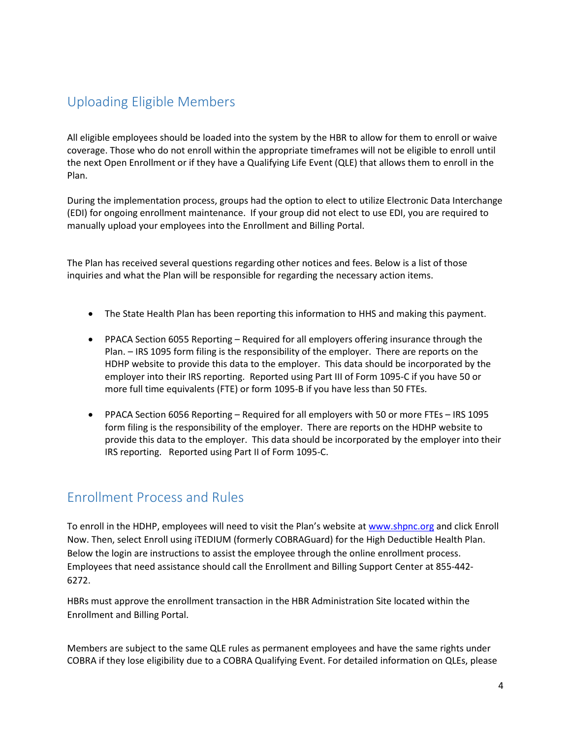## <span id="page-3-0"></span>Uploading Eligible Members

All eligible employees should be loaded into the system by the HBR to allow for them to enroll or waive coverage. Those who do not enroll within the appropriate timeframes will not be eligible to enroll until the next Open Enrollment or if they have a Qualifying Life Event (QLE) that allows them to enroll in the Plan.

During the implementation process, groups had the option to elect to utilize Electronic Data Interchange (EDI) for ongoing enrollment maintenance. If your group did not elect to use EDI, you are required to manually upload your employees into the Enrollment and Billing Portal.

The Plan has received several questions regarding other notices and fees. Below is a list of those inquiries and what the Plan will be responsible for regarding the necessary action items.

- The State Health Plan has been reporting this information to HHS and making this payment.
- PPACA Section 6055 Reporting Required for all employers offering insurance through the Plan. – IRS 1095 form filing is the responsibility of the employer. There are reports on the HDHP website to provide this data to the employer. This data should be incorporated by the employer into their IRS reporting. Reported using Part III of Form 1095-C if you have 50 or more full time equivalents (FTE) or form 1095-B if you have less than 50 FTEs.
- PPACA Section 6056 Reporting Required for all employers with 50 or more FTEs IRS 1095 form filing is the responsibility of the employer. There are reports on the HDHP website to provide this data to the employer. This data should be incorporated by the employer into their IRS reporting. Reported using Part II of Form 1095-C.

#### <span id="page-3-1"></span>Enrollment Process and Rules

To enroll in the HDHP, employees will need to visit the Plan's website at [www.shpnc.org](https://shp.nctreasurer.com/Pages/default.aspx) and click Enroll Now. Then, select Enroll using iTEDIUM (formerly COBRAGuard) for the High Deductible Health Plan. Below the login are instructions to assist the employee through the online enrollment process. Employees that need assistance should call the Enrollment and Billing Support Center at 855-442-  $6272.$ 

HBRs must approve the enrollment transaction in the HBR Administration Site located within the Enrollment and Billing Portal.

Members are subject to the same QLE rules as permanent employees and have the same rights under COBRA if they lose eligibility due to a COBRA Qualifying Event. For detailed information on QLEs, please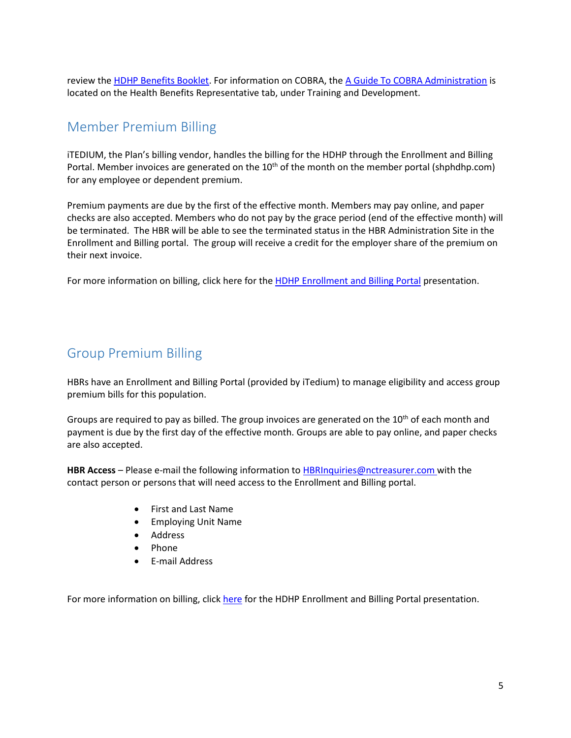review the [HDHP Benefits Booklet.](https://shp.nctreasurer.com/Medical%20Benefits/2017%20HDHP%20Benefit%20Booklet.pdf) For information on COBRA, the [A Guide To COBRA](https://shp.nctreasurer.com/Medical%20Benefits/Cobra%20Admin%20Guide.pdf) Administration is located on the Health Benefits Representative tab, under Training and Development.

### <span id="page-4-0"></span>Member Premium Billing

iTEDIUM, the Plan's billing vendor, handles the billing for the HDHP through the Enrollment and Billing Portal. Member invoices are generated on the 10<sup>th</sup> of the month on the member portal (shphdhp.com) for any employee or dependent premium.

Premium payments are due by the first of the effective month. Members may pay online, and paper checks are also accepted. Members who do not pay by the grace period (end of the effective month) will be terminated. The HBR will be able to see the terminated status in the HBR Administration Site in the Enrollment and Billing portal. The group will receive a credit for the employer share of the premium on their next invoice.

For more information on billing, click here for the **HDHP Enrollment and Billing Portal** presentation.

### <span id="page-4-1"></span>Group Premium Billing

HBRs have an Enrollment and Billing Portal (provided by iTedium) to manage eligibility and access group premium bills for this population.

Groups are required to pay as billed. The group invoices are generated on the 10<sup>th</sup> of each month and payment is due by the first day of the effective month. Groups are able to pay online, and paper checks are also accepted.

**HBR Access** – Please e-mail the following information to [HBRInquiries@nctreasurer.com](mailto:HBRInquiries@nctreasurer.com) with the contact person or persons that will need access to the Enrollment and Billing portal.

- First and Last Name
- Employing Unit Name
- Address
- Phone
- E-mail Address

For more information on billing, click [here](https://shp.nctreasurer.com/Medical%20Benefits/hdhp-webinar.pdf) for the HDHP Enrollment and Billing Portal presentation.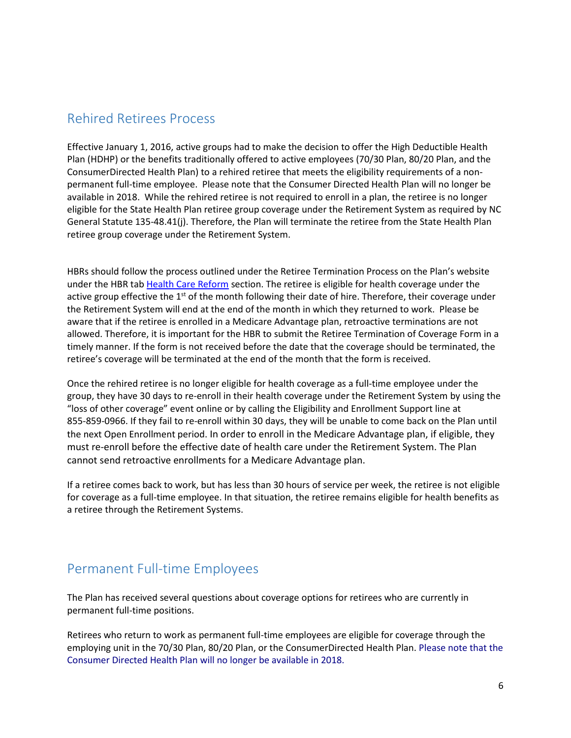### <span id="page-5-0"></span>Rehired Retirees Process

Effective January 1, 2016, active groups had to make the decision to offer the High Deductible Health Plan (HDHP) or the benefits traditionally offered to active employees (70/30 Plan, 80/20 Plan, and the ConsumerDirected Health Plan) to a rehired retiree that meets the eligibility requirements of a nonpermanent full-time employee. Please note that the Consumer Directed Health Plan will no longer be available in 2018. While the rehired retiree is not required to enroll in a plan, the retiree is no longer eligible for the State Health Plan retiree group coverage under the Retirement System as required by NC General Statute 135-48.41(j). Therefore, the Plan will terminate the retiree from the State Health Plan retiree group coverage under the Retirement System.

HBRs should follow the process outlined under the Retiree Termination Process on the Plan's website under the HBR tab [Health Care Reform](https://shp.nctreasurer.com/BenefitReps/reform/Pages/default.aspx) section. The retiree is eligible for health coverage under the active group effective the 1<sup>st</sup> of the month following their date of hire. Therefore, their coverage under the Retirement System will end at the end of the month in which they returned to work. Please be aware that if the retiree is enrolled in a Medicare Advantage plan, retroactive terminations are not allowed. Therefore, it is important for the HBR to submit the Retiree Termination of Coverage Form in a timely manner. If the form is not received before the date that the coverage should be terminated, the retiree's coverage will be terminated at the end of the month that the form is received.

Once the rehired retiree is no longer eligible for health coverage as a full-time employee under the group, they have 30 days to re-enroll in their health coverage under the Retirement System by using the "loss of other coverage" event online or by calling the Eligibility and Enrollment Support line at 855-859-0966. If they fail to re-enroll within 30 days, they will be unable to come back on the Plan until the next Open Enrollment period. In order to enroll in the Medicare Advantage plan, if eligible, they must re-enroll before the effective date of health care under the Retirement System. The Plan cannot send retroactive enrollments for a Medicare Advantage plan.

If a retiree comes back to work, but has less than 30 hours of service per week, the retiree is not eligible for coverage as a full-time employee. In that situation, the retiree remains eligible for health benefits as a retiree through the Retirement Systems.

#### <span id="page-5-1"></span>Permanent Full-time Employees

The Plan has received several questions about coverage options for retirees who are currently in permanent full-time positions.

Retirees who return to work as permanent full-time employees are eligible for coverage through the employing unit in the 70/30 Plan, 80/20 Plan, or the ConsumerDirected Health Plan. Please note that the Consumer Directed Health Plan will no longer be available in 2018.